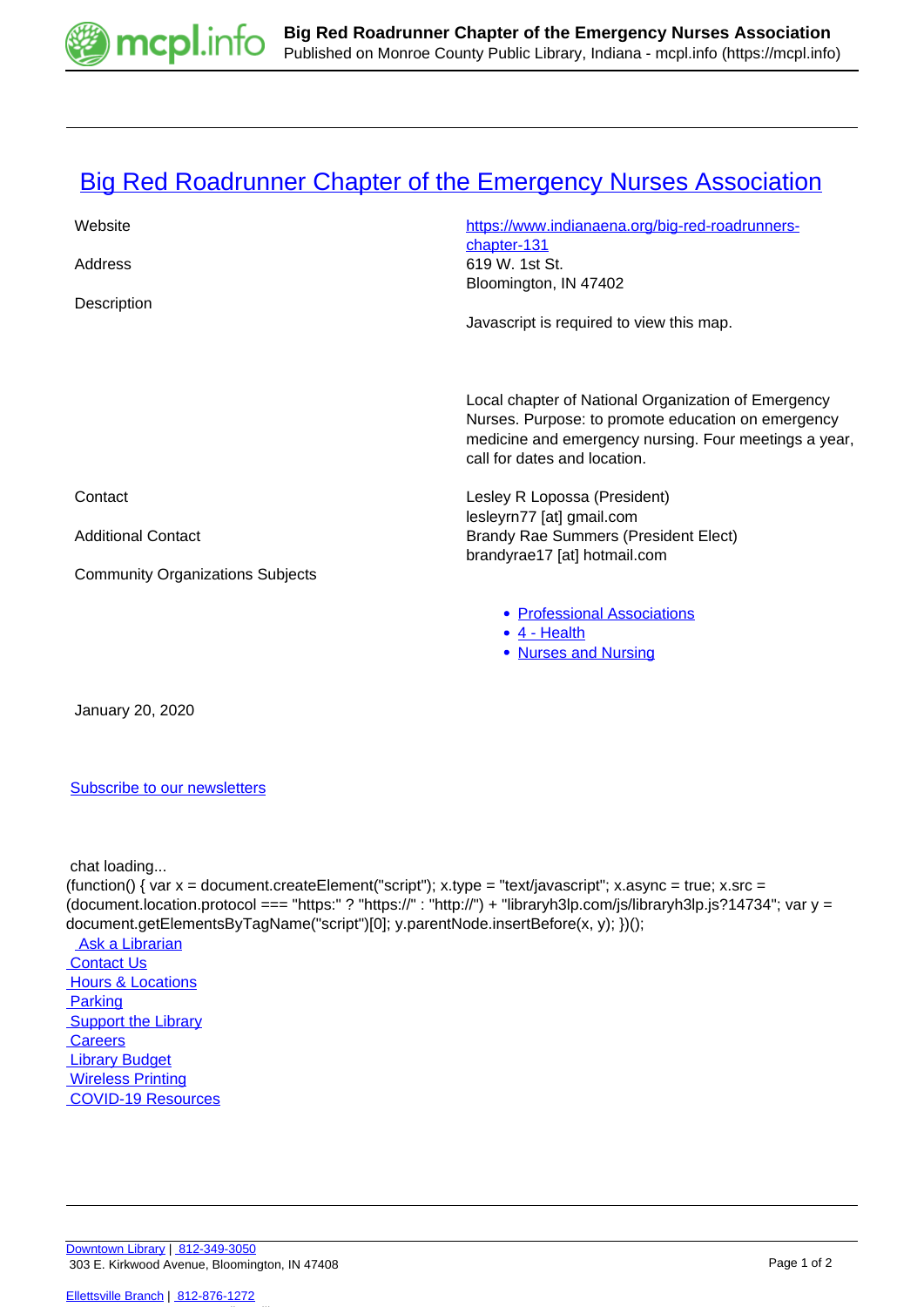

## **[Big Red Roadrunner Chapter of the Emergency Nurses Association](https://mcpl.info/commorg/big-red-roadrunner-chapter-emergency-nurses-association)**

| Website                                 | https://www.indianaena.org/big-red-roadrunners-                                                                                                                                                    |
|-----------------------------------------|----------------------------------------------------------------------------------------------------------------------------------------------------------------------------------------------------|
|                                         | chapter-131                                                                                                                                                                                        |
| Address                                 | 619 W. 1st St.<br>Bloomington, IN 47402                                                                                                                                                            |
| Description                             |                                                                                                                                                                                                    |
|                                         | Javascript is required to view this map.                                                                                                                                                           |
|                                         |                                                                                                                                                                                                    |
|                                         | Local chapter of National Organization of Emergency<br>Nurses. Purpose: to promote education on emergency<br>medicine and emergency nursing. Four meetings a year,<br>call for dates and location. |
| Contact                                 | Lesley R Lopossa (President)                                                                                                                                                                       |
| <b>Additional Contact</b>               | lesleyrn77 [at] gmail.com<br><b>Brandy Rae Summers (President Elect)</b>                                                                                                                           |
|                                         | brandyrae17 [at] hotmail.com                                                                                                                                                                       |
| <b>Community Organizations Subjects</b> |                                                                                                                                                                                                    |
|                                         | • Professional Associations<br>$\bullet$ 4 - Health<br>• Nurses and Nursing                                                                                                                        |

January 20, 2020

## [Subscribe to our newsletters](https://mcpl.info/geninfo/subscribe-think-library-newsletter)

chat loading...

```
(function() { var x = document.createElement("script"); x.type = "text/javascript"; x.async = true; x.src =
(document.location.protocol === "https:" ? "https://" : "http://") + "libraryh3lp.com/js/libraryh3lp.js?14734"; var y =
document.getElementsByTagName("script")[0]; y.parentNode.insertBefore(x, y); })(); 
 Ask a Librarian
 Contact Us
Hours & Locations
 Parking
Support the Library
Careers
 Library Budget
 Wireless Printing
 COVID-19 Resources
```